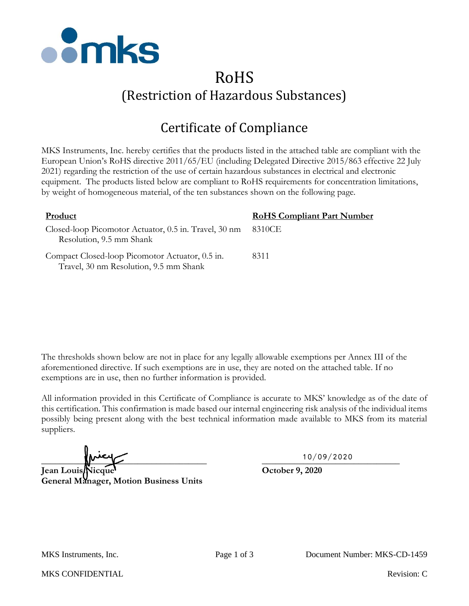

## RoHS (Restriction of Hazardous Substances)

## Certificate of Compliance

MKS Instruments, Inc. hereby certifies that the products listed in the attached table are compliant with the European Union's RoHS directive 2011/65/EU (including Delegated Directive 2015/863 effective 22 July 2021) regarding the restriction of the use of certain hazardous substances in electrical and electronic equipment. The products listed below are compliant to RoHS requirements for concentration limitations, by weight of homogeneous material, of the ten substances shown on the following page.

| Product                                                                                   | <b>RoHS Compliant Part Number</b> |
|-------------------------------------------------------------------------------------------|-----------------------------------|
| Closed-loop Picomotor Actuator, 0.5 in. Travel, 30 nm<br>Resolution, 9.5 mm Shank         | 8310CE                            |
| Compact Closed-loop Picomotor Actuator, 0.5 in.<br>Travel, 30 nm Resolution, 9.5 mm Shank | 8311                              |

The thresholds shown below are not in place for any legally allowable exemptions per Annex III of the aforementioned directive. If such exemptions are in use, they are noted on the attached table. If no exemptions are in use, then no further information is provided.

All information provided in this Certificate of Compliance is accurate to MKS' knowledge as of the date of this certification. This confirmation is made based our internal engineering risk analysis of the individual items possibly being present along with the best technical information made available to MKS from its material suppliers.

 $\frac{10/09/2020}{10}$ 

**Jean Louis Nicque October 9, 2020 General Manager, Motion Business Units**

10/09/2020

MKS Instruments, Inc. Page 1 of 3 Document Number: MKS-CD-1459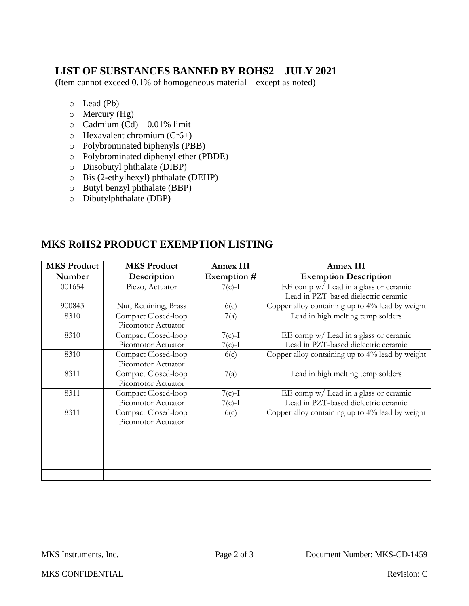## **LIST OF SUBSTANCES BANNED BY ROHS2 – JULY 2021**

(Item cannot exceed 0.1% of homogeneous material – except as noted)

- o Lead (Pb)
- o Mercury (Hg)
- $\circ$  Cadmium (Cd) 0.01% limit
- o Hexavalent chromium (Cr6+)
- o Polybrominated biphenyls (PBB)
- o Polybrominated diphenyl ether (PBDE)
- o Diisobutyl phthalate (DIBP)
- o Bis (2-ethylhexyl) phthalate (DEHP)
- o Butyl benzyl phthalate (BBP)
- o Dibutylphthalate (DBP)

| <b>MKS Product</b> | <b>MKS Product</b>    | <b>Annex III</b> | <b>Annex III</b>                                |
|--------------------|-----------------------|------------------|-------------------------------------------------|
| Number             | Description           | Exemption #      | <b>Exemption Description</b>                    |
| 001654             | Piezo, Actuator       | $7(c)-1$         | EE comp w/ Lead in a glass or ceramic           |
|                    |                       |                  | Lead in PZT-based dielectric ceramic            |
| 900843             | Nut, Retaining, Brass | 6(c)             | Copper alloy containing up to 4% lead by weight |
| 8310               | Compact Closed-loop   | 7(a)             | Lead in high melting temp solders               |
|                    | Picomotor Actuator    |                  |                                                 |
| 8310               | Compact Closed-loop   | $7(c)-1$         | EE comp w/ Lead in a glass or ceramic           |
|                    | Picomotor Actuator    | $7(c)-1$         | Lead in PZT-based dielectric ceramic            |
| 8310               | Compact Closed-loop   | 6(c)             | Copper alloy containing up to 4% lead by weight |
|                    | Picomotor Actuator    |                  |                                                 |
| 8311               | Compact Closed-loop   | 7(a)             | Lead in high melting temp solders               |
|                    | Picomotor Actuator    |                  |                                                 |
| 8311               | Compact Closed-loop   | $7(c)-1$         | EE comp w/ Lead in a glass or ceramic           |
|                    | Picomotor Actuator    | $7(c)-1$         | Lead in PZT-based dielectric ceramic            |
| 8311               | Compact Closed-loop   | 6(c)             | Copper alloy containing up to 4% lead by weight |
|                    | Picomotor Actuator    |                  |                                                 |
|                    |                       |                  |                                                 |
|                    |                       |                  |                                                 |
|                    |                       |                  |                                                 |
|                    |                       |                  |                                                 |
|                    |                       |                  |                                                 |

## **MKS RoHS2 PRODUCT EXEMPTION LISTING**